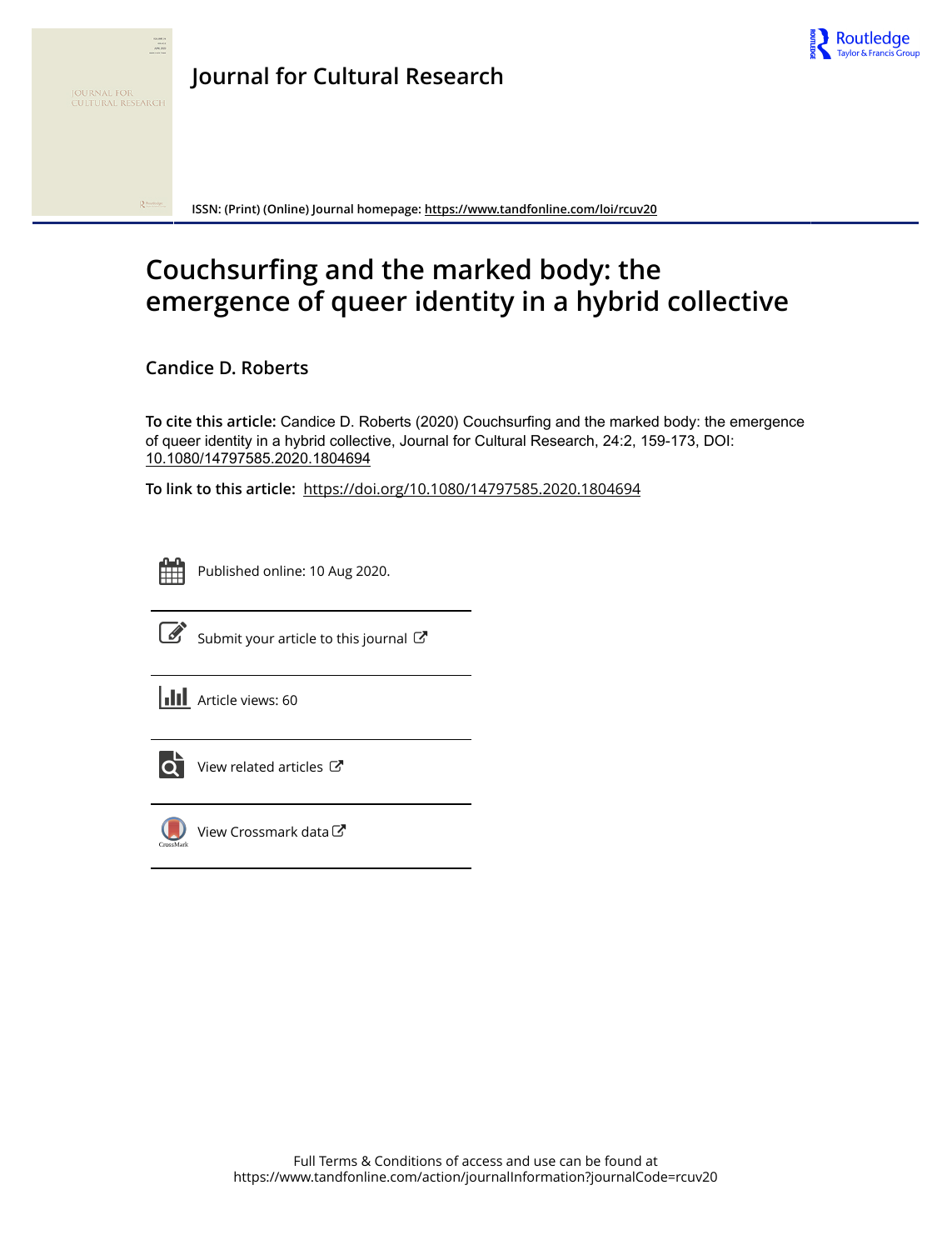

**ISSN: (Print) (Online) Journal homepage:<https://www.tandfonline.com/loi/rcuv20>**

# **Couchsurfing and the marked body: the emergence of queer identity in a hybrid collective**

**Candice D. Roberts**

**To cite this article:** Candice D. Roberts (2020) Couchsurfing and the marked body: the emergence of queer identity in a hybrid collective, Journal for Cultural Research, 24:2, 159-173, DOI: [10.1080/14797585.2020.1804694](https://www.tandfonline.com/action/showCitFormats?doi=10.1080/14797585.2020.1804694)

**To link to this article:** <https://doi.org/10.1080/14797585.2020.1804694>



Published online: 10 Aug 2020.



 $\overrightarrow{S}$  [Submit your article to this journal](https://www.tandfonline.com/action/authorSubmission?journalCode=rcuv20&show=instructions)  $\overrightarrow{S}$ 

**III** Article views: 60



[View related articles](https://www.tandfonline.com/doi/mlt/10.1080/14797585.2020.1804694)  $\mathbb{Z}$ 



[View Crossmark data](http://crossmark.crossref.org/dialog/?doi=10.1080/14797585.2020.1804694&domain=pdf&date_stamp=2020-08-10)<sup>で</sup>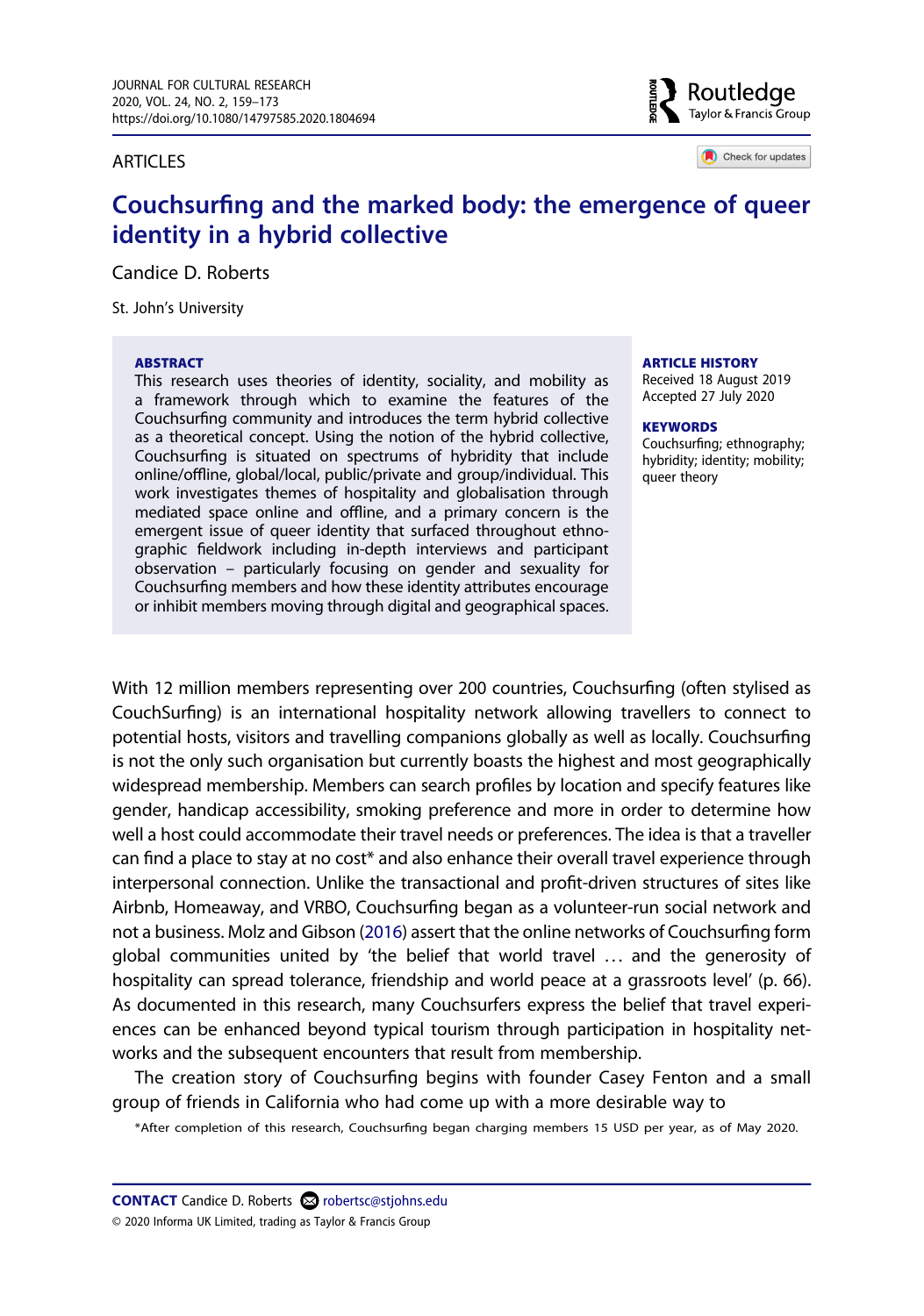**ARTICLES** 



Check for updates

## **Couchsurfing and the marked body: the emergence of queer identity in a hybrid collective**

Candice D. Roberts

St. John's University

#### **ABSTRACT**

This research uses theories of identity, sociality, and mobility as a framework through which to examine the features of the Couchsurfing community and introduces the term hybrid collective as a theoretical concept. Using the notion of the hybrid collective, Couchsurfing is situated on spectrums of hybridity that include online/offline, global/local, public/private and group/individual. This work investigates themes of hospitality and globalisation through mediated space online and offline, and a primary concern is the emergent issue of queer identity that surfaced throughout ethnographic fieldwork including in-depth interviews and participant observation – particularly focusing on gender and sexuality for Couchsurfing members and how these identity attributes encourage or inhibit members moving through digital and geographical spaces.

#### **ARTICLE HISTORY**

Received 18 August 2019 Accepted 27 July 2020

#### **KEYWORDS**

Couchsurfing; ethnography; hybridity; identity; mobility; queer theory

With 12 million members representing over 200 countries, Couchsurfing (often stylised as CouchSurfing) is an international hospitality network allowing travellers to connect to potential hosts, visitors and travelling companions globally as well as locally. Couchsurfing is not the only such organisation but currently boasts the highest and most geographically widespread membership. Members can search profiles by location and specify features like gender, handicap accessibility, smoking preference and more in order to determine how well a host could accommodate their travel needs or preferences. The idea is that a traveller can find a place to stay at no cost\* and also enhance their overall travel experience through interpersonal connection. Unlike the transactional and profit-driven structures of sites like Airbnb, Homeaway, and VRBO, Couchsurfing began as a volunteer-run social network and not a business. Molz and Gibson ([2016\)](#page-15-0) assert that the online networks of Couchsurfing form global communities united by 'the belief that world travel . . . and the generosity of hospitality can spread tolerance, friendship and world peace at a grassroots level' (p. 66). As documented in this research, many Couchsurfers express the belief that travel experiences can be enhanced beyond typical tourism through participation in hospitality networks and the subsequent encounters that result from membership.

<span id="page-1-0"></span>The creation story of Couchsurfing begins with founder Casey Fenton and a small group of friends in California who had come up with a more desirable way to

\*After completion of this research, Couchsurfing began charging members 15 USD per year, as of May 2020.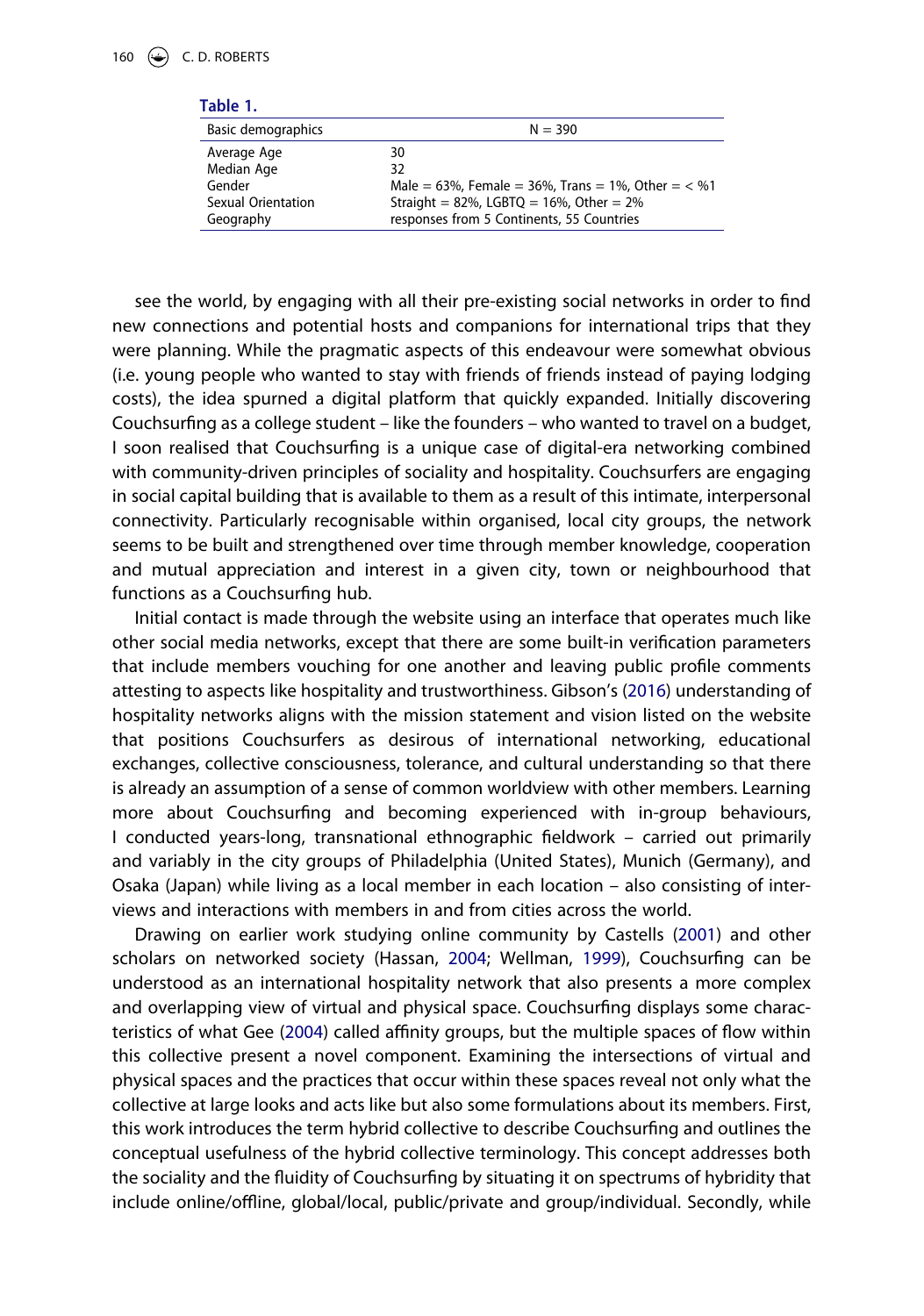| TADIE I.                  |                                                                   |
|---------------------------|-------------------------------------------------------------------|
| Basic demographics        | $N = 390$                                                         |
| Average Age<br>Median Age | 30<br>32                                                          |
| Gender                    | Male = $63\%$ , Female = $36\%$ , Trans = $1\%$ , Other = < $\%1$ |
| Sexual Orientation        | Straight = $82\%$ , LGBTQ = $16\%$ , Other = $2\%$                |
| Geography                 | responses from 5 Continents, 55 Countries                         |

**Table 1.**

see the world, by engaging with all their pre-existing social networks in order to find new connections and potential hosts and companions for international trips that they were planning. While the pragmatic aspects of this endeavour were somewhat obvious (i.e. young people who wanted to stay with friends of friends instead of paying lodging costs), the idea spurned a digital platform that quickly expanded. Initially discovering Couchsurfing as a college student – like the founders – who wanted to travel on a budget, I soon realised that Couchsurfing is a unique case of digital-era networking combined with community-driven principles of sociality and hospitality. Couchsurfers are engaging in social capital building that is available to them as a result of this intimate, interpersonal connectivity. Particularly recognisable within organised, local city groups, the network seems to be built and strengthened over time through member knowledge, cooperation and mutual appreciation and interest in a given city, town or neighbourhood that functions as a Couchsurfing hub.

<span id="page-2-2"></span>Initial contact is made through the website using an interface that operates much like other social media networks, except that there are some built-in verification parameters that include members vouching for one another and leaving public profile comments attesting to aspects like hospitality and trustworthiness. Gibson's [\(2016\)](#page-14-0) understanding of hospitality networks aligns with the mission statement and vision listed on the website that positions Couchsurfers as desirous of international networking, educational exchanges, collective consciousness, tolerance, and cultural understanding so that there is already an assumption of a sense of common worldview with other members. Learning more about Couchsurfing and becoming experienced with in-group behaviours, I conducted years-long, transnational ethnographic fieldwork – carried out primarily and variably in the city groups of Philadelphia (United States), Munich (Germany), and Osaka (Japan) while living as a local member in each location – also consisting of interviews and interactions with members in and from cities across the world.

<span id="page-2-3"></span><span id="page-2-1"></span><span id="page-2-0"></span>Drawing on earlier work studying online community by Castells [\(2001\)](#page-14-1) and other scholars on networked society (Hassan, [2004;](#page-14-2) Wellman, [1999\)](#page-15-1), Couchsurfing can be understood as an international hospitality network that also presents a more complex and overlapping view of virtual and physical space. Couchsurfing displays some characteristics of what Gee [\(2004\)](#page-14-3) called affinity groups, but the multiple spaces of flow within this collective present a novel component. Examining the intersections of virtual and physical spaces and the practices that occur within these spaces reveal not only what the collective at large looks and acts like but also some formulations about its members. First, this work introduces the term hybrid collective to describe Couchsurfing and outlines the conceptual usefulness of the hybrid collective terminology. This concept addresses both the sociality and the fluidity of Couchsurfing by situating it on spectrums of hybridity that include online/offline, global/local, public/private and group/individual. Secondly, while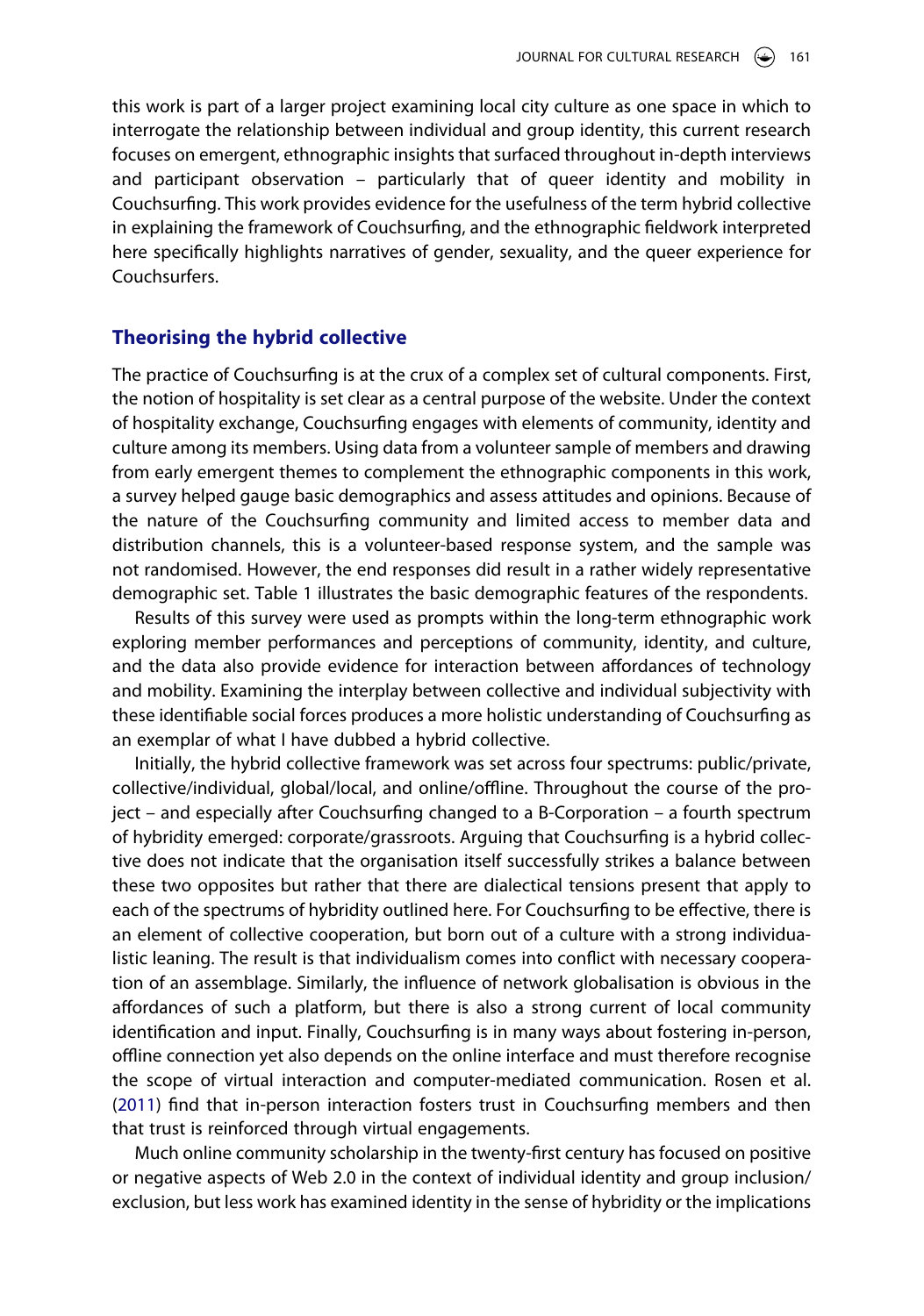this work is part of a larger project examining local city culture as one space in which to interrogate the relationship between individual and group identity, this current research focuses on emergent, ethnographic insights that surfaced throughout in-depth interviews and participant observation – particularly that of queer identity and mobility in Couchsurfing. This work provides evidence for the usefulness of the term hybrid collective in explaining the framework of Couchsurfing, and the ethnographic fieldwork interpreted here specifically highlights narratives of gender, sexuality, and the queer experience for Couchsurfers.

## **Theorising the hybrid collective**

The practice of Couchsurfing is at the crux of a complex set of cultural components. First, the notion of hospitality is set clear as a central purpose of the website. Under the context of hospitality exchange, Couchsurfing engages with elements of community, identity and culture among its members. Using data from a volunteer sample of members and drawing from early emergent themes to complement the ethnographic components in this work, a survey helped gauge basic demographics and assess attitudes and opinions. Because of the nature of the Couchsurfing community and limited access to member data and distribution channels, this is a volunteer-based response system, and the sample was not randomised. However, the end responses did result in a rather widely representative demographic set. Table 1 illustrates the basic demographic features of the respondents.

Results of this survey were used as prompts within the long-term ethnographic work exploring member performances and perceptions of community, identity, and culture, and the data also provide evidence for interaction between affordances of technology and mobility. Examining the interplay between collective and individual subjectivity with these identifiable social forces produces a more holistic understanding of Couchsurfing as an exemplar of what I have dubbed a hybrid collective.

Initially, the hybrid collective framework was set across four spectrums: public/private, collective/individual, global/local, and online/offline. Throughout the course of the project – and especially after Couchsurfing changed to a B-Corporation – a fourth spectrum of hybridity emerged: corporate/grassroots. Arguing that Couchsurfing is a hybrid collective does not indicate that the organisation itself successfully strikes a balance between these two opposites but rather that there are dialectical tensions present that apply to each of the spectrums of hybridity outlined here. For Couchsurfing to be effective, there is an element of collective cooperation, but born out of a culture with a strong individualistic leaning. The result is that individualism comes into conflict with necessary cooperation of an assemblage. Similarly, the influence of network globalisation is obvious in the affordances of such a platform, but there is also a strong current of local community identification and input. Finally, Couchsurfing is in many ways about fostering in-person, offline connection yet also depends on the online interface and must therefore recognise the scope of virtual interaction and computer-mediated communication. Rosen et al. ([2011](#page-15-2)) find that in-person interaction fosters trust in Couchsurfing members and then that trust is reinforced through virtual engagements.

<span id="page-3-0"></span>Much online community scholarship in the twenty-first century has focused on positive or negative aspects of Web 2.0 in the context of individual identity and group inclusion/ exclusion, but less work has examined identity in the sense of hybridity or the implications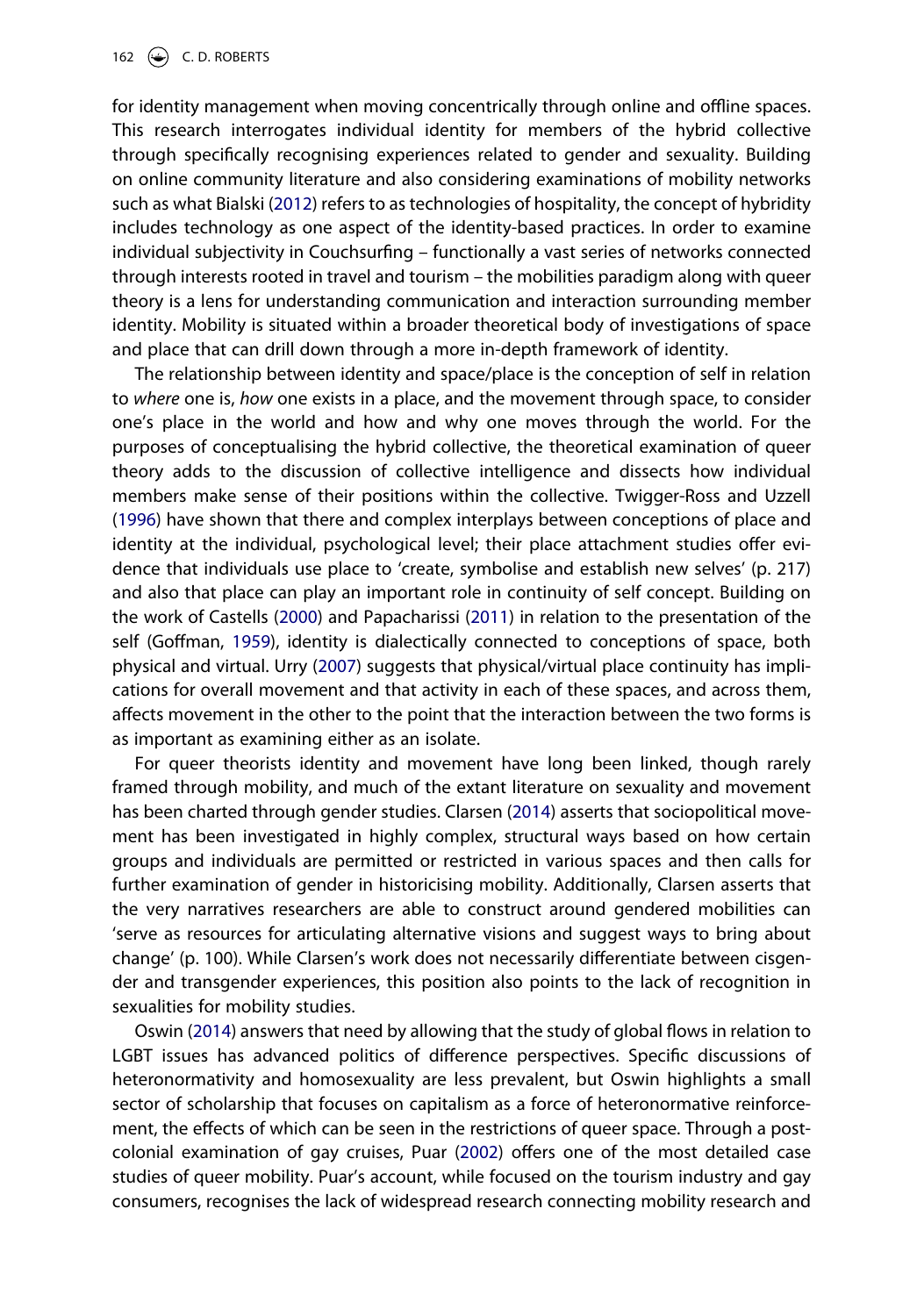<span id="page-4-0"></span>for identity management when moving concentrically through online and offline spaces. This research interrogates individual identity for members of the hybrid collective through specifically recognising experiences related to gender and sexuality. Building on online community literature and also considering examinations of mobility networks such as what Bialski [\(2012\)](#page-14-4) refers to as technologies of hospitality, the concept of hybridity includes technology as one aspect of the identity-based practices. In order to examine individual subjectivity in Couchsurfing – functionally a vast series of networks connected through interests rooted in travel and tourism – the mobilities paradigm along with queer theory is a lens for understanding communication and interaction surrounding member identity. Mobility is situated within a broader theoretical body of investigations of space and place that can drill down through a more in-depth framework of identity.

<span id="page-4-6"></span>The relationship between identity and space/place is the conception of self in relation to *where* one is, *how* one exists in a place, and the movement through space, to consider one's place in the world and how and why one moves through the world. For the purposes of conceptualising the hybrid collective, the theoretical examination of queer theory adds to the discussion of collective intelligence and dissects how individual members make sense of their positions within the collective. Twigger-Ross and Uzzell ([1996](#page-15-3)) have shown that there and complex interplays between conceptions of place and identity at the individual, psychological level; their place attachment studies offer evidence that individuals use place to 'create, symbolise and establish new selves' (p. 217) and also that place can play an important role in continuity of self concept. Building on the work of Castells [\(2000\)](#page-14-5) and Papacharissi [\(2011\)](#page-15-4) in relation to the presentation of the self (Goffman, [1959](#page-14-6)), identity is dialectically connected to conceptions of space, both physical and virtual. Urry ([2007](#page-15-5)) suggests that physical/virtual place continuity has implications for overall movement and that activity in each of these spaces, and across them, affects movement in the other to the point that the interaction between the two forms is as important as examining either as an isolate.

<span id="page-4-7"></span><span id="page-4-3"></span><span id="page-4-2"></span><span id="page-4-1"></span>For queer theorists identity and movement have long been linked, though rarely framed through mobility, and much of the extant literature on sexuality and movement has been charted through gender studies. Clarsen ([2014](#page-14-7)) asserts that sociopolitical movement has been investigated in highly complex, structural ways based on how certain groups and individuals are permitted or restricted in various spaces and then calls for further examination of gender in historicising mobility. Additionally, Clarsen asserts that the very narratives researchers are able to construct around gendered mobilities can 'serve as resources for articulating alternative visions and suggest ways to bring about change' (p. 100). While Clarsen's work does not necessarily differentiate between cisgender and transgender experiences, this position also points to the lack of recognition in sexualities for mobility studies.

<span id="page-4-5"></span><span id="page-4-4"></span>Oswin [\(2014\)](#page-15-6) answers that need by allowing that the study of global flows in relation to LGBT issues has advanced politics of difference perspectives. Specific discussions of heteronormativity and homosexuality are less prevalent, but Oswin highlights a small sector of scholarship that focuses on capitalism as a force of heteronormative reinforcement, the effects of which can be seen in the restrictions of queer space. Through a postcolonial examination of gay cruises, Puar ([2002](#page-15-7)) offers one of the most detailed case studies of queer mobility. Puar's account, while focused on the tourism industry and gay consumers, recognises the lack of widespread research connecting mobility research and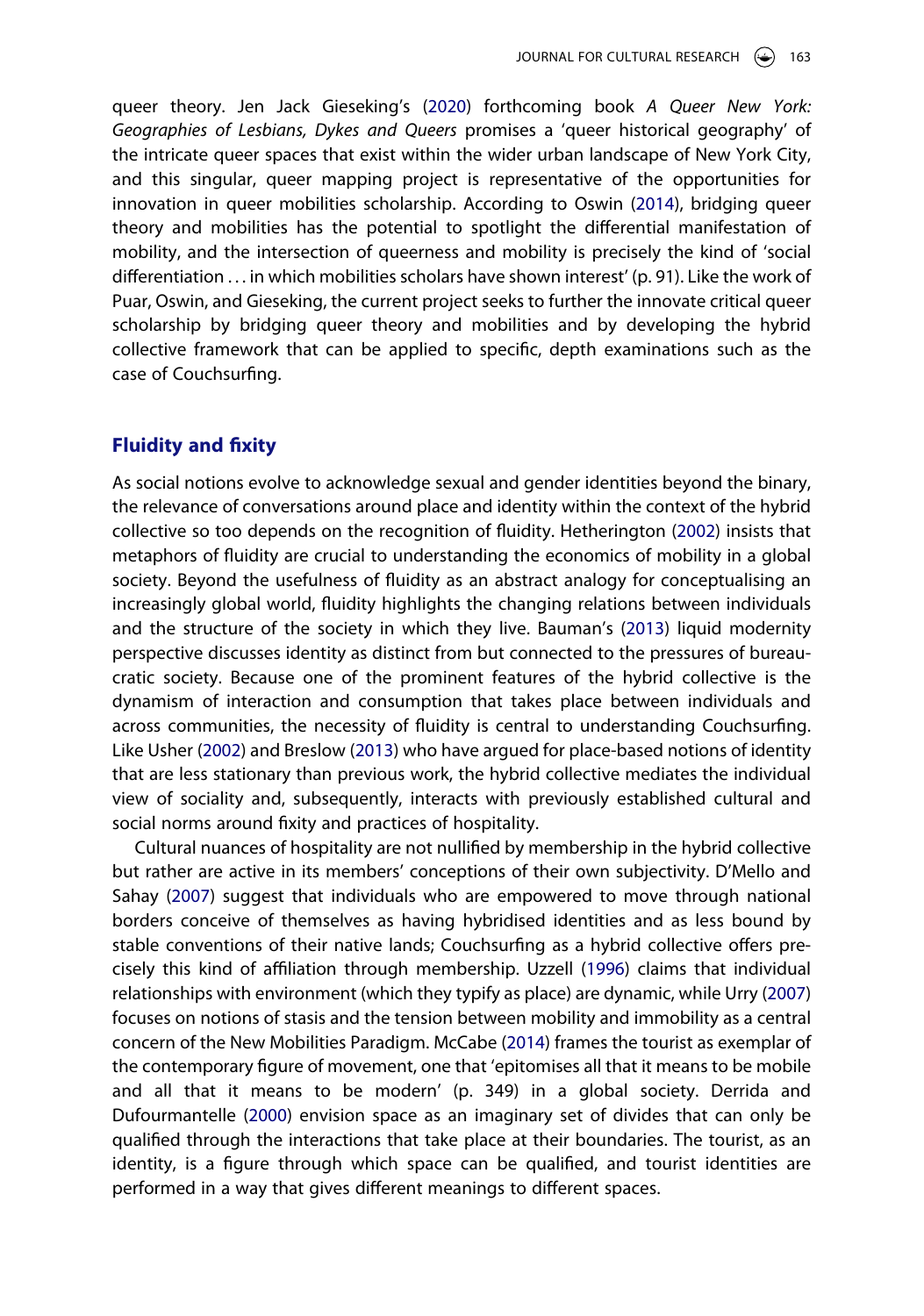<span id="page-5-4"></span>queer theory. Jen Jack Gieseking's ([2020](#page-14-8)) forthcoming book *A Queer New York: Geographies of Lesbians, Dykes and Queers* promises a 'queer historical geography' of the intricate queer spaces that exist within the wider urban landscape of New York City, and this singular, queer mapping project is representative of the opportunities for innovation in queer mobilities scholarship. According to Oswin ([2014](#page-15-6)), bridging queer theory and mobilities has the potential to spotlight the differential manifestation of mobility, and the intersection of queerness and mobility is precisely the kind of 'social differentiation . . . in which mobilities scholars have shown interest' (p. 91). Like the work of Puar, Oswin, and Gieseking, the current project seeks to further the innovate critical queer scholarship by bridging queer theory and mobilities and by developing the hybrid collective framework that can be applied to specific, depth examinations such as the case of Couchsurfing.

## **Fluidity and fixity**

<span id="page-5-5"></span><span id="page-5-0"></span>As social notions evolve to acknowledge sexual and gender identities beyond the binary, the relevance of conversations around place and identity within the context of the hybrid collective so too depends on the recognition of fluidity. Hetherington ([2002](#page-14-9)) insists that metaphors of fluidity are crucial to understanding the economics of mobility in a global society. Beyond the usefulness of fluidity as an abstract analogy for conceptualising an increasingly global world, fluidity highlights the changing relations between individuals and the structure of the society in which they live. Bauman's [\(2013\)](#page-14-10) liquid modernity perspective discusses identity as distinct from but connected to the pressures of bureaucratic society. Because one of the prominent features of the hybrid collective is the dynamism of interaction and consumption that takes place between individuals and across communities, the necessity of fluidity is central to understanding Couchsurfing. Like Usher [\(2002\)](#page-15-8) and Breslow ([2013](#page-14-11)) who have argued for place-based notions of identity that are less stationary than previous work, the hybrid collective mediates the individual view of sociality and, subsequently, interacts with previously established cultural and social norms around fixity and practices of hospitality.

<span id="page-5-7"></span><span id="page-5-6"></span><span id="page-5-3"></span><span id="page-5-2"></span><span id="page-5-1"></span>Cultural nuances of hospitality are not nullified by membership in the hybrid collective but rather are active in its members' conceptions of their own subjectivity. D'Mello and Sahay ([2007](#page-14-12)) suggest that individuals who are empowered to move through national borders conceive of themselves as having hybridised identities and as less bound by stable conventions of their native lands; Couchsurfing as a hybrid collective offers precisely this kind of affiliation through membership. Uzzell [\(1996\)](#page-15-9) claims that individual relationships with environment (which they typify as place) are dynamic, while Urry ([2007](#page-15-5)) focuses on notions of stasis and the tension between mobility and immobility as a central concern of the New Mobilities Paradigm. McCabe ([2014](#page-15-10)) frames the tourist as exemplar of the contemporary figure of movement, one that 'epitomises all that it means to be mobile and all that it means to be modern' (p. 349) in a global society. Derrida and Dufourmantelle ([2000](#page-14-13)) envision space as an imaginary set of divides that can only be qualified through the interactions that take place at their boundaries. The tourist, as an identity, is a figure through which space can be qualified, and tourist identities are performed in a way that gives different meanings to different spaces.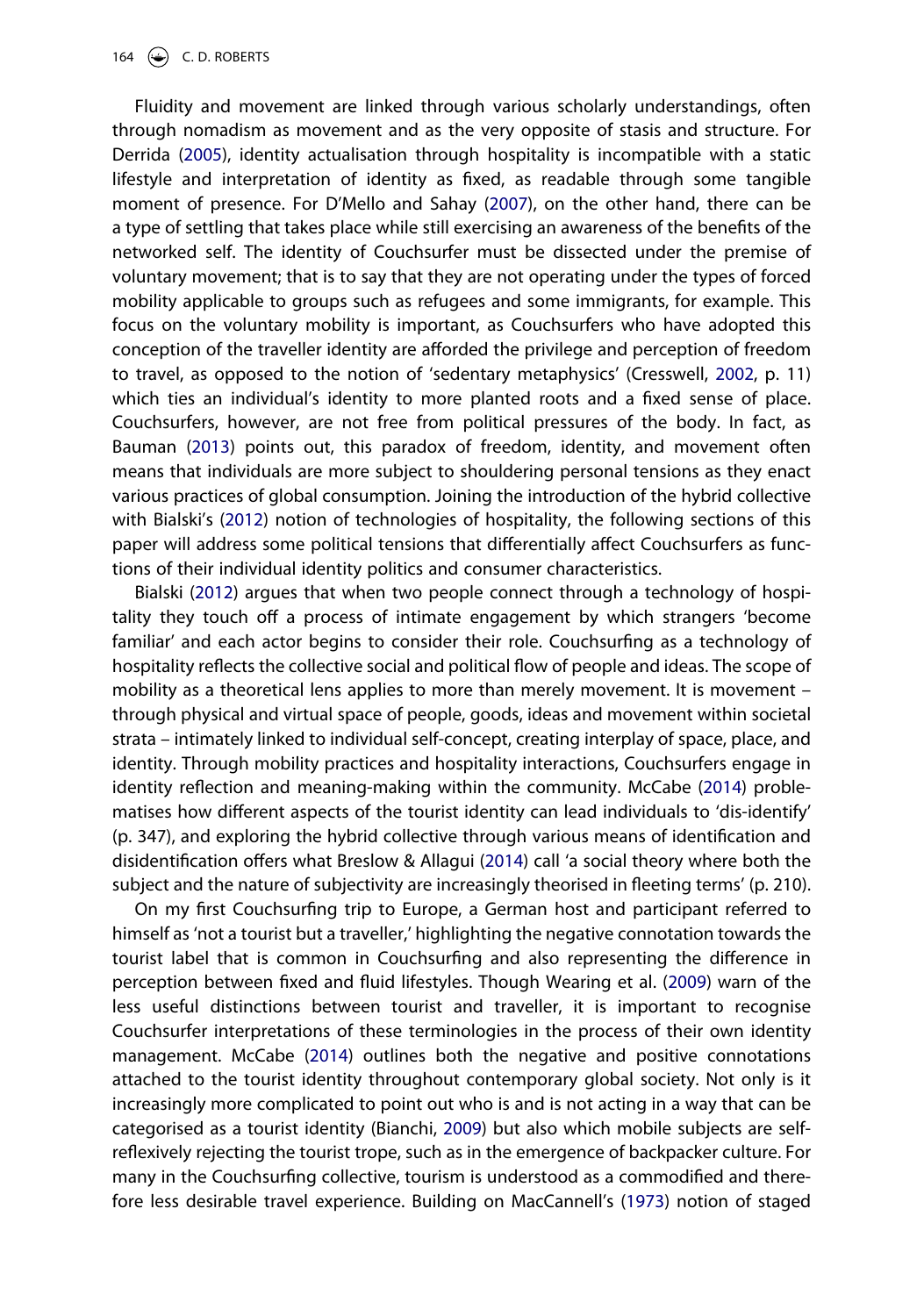<span id="page-6-3"></span>Fluidity and movement are linked through various scholarly understandings, often through nomadism as movement and as the very opposite of stasis and structure. For Derrida [\(2005\)](#page-14-14), identity actualisation through hospitality is incompatible with a static lifestyle and interpretation of identity as fixed, as readable through some tangible moment of presence. For D'Mello and Sahay [\(2007\)](#page-14-12), on the other hand, there can be a type of settling that takes place while still exercising an awareness of the benefits of the networked self. The identity of Couchsurfer must be dissected under the premise of voluntary movement; that is to say that they are not operating under the types of forced mobility applicable to groups such as refugees and some immigrants, for example. This focus on the voluntary mobility is important, as Couchsurfers who have adopted this conception of the traveller identity are afforded the privilege and perception of freedom to travel, as opposed to the notion of 'sedentary metaphysics' (Cresswell, [2002,](#page-14-15) p. 11) which ties an individual's identity to more planted roots and a fixed sense of place. Couchsurfers, however, are not free from political pressures of the body. In fact, as Bauman [\(2013\)](#page-14-10) points out, this paradox of freedom, identity, and movement often means that individuals are more subject to shouldering personal tensions as they enact various practices of global consumption. Joining the introduction of the hybrid collective with Bialski's [\(2012\)](#page-14-4) notion of technologies of hospitality, the following sections of this paper will address some political tensions that differentially affect Couchsurfers as functions of their individual identity politics and consumer characteristics.

<span id="page-6-2"></span>Bialski [\(2012\)](#page-14-4) argues that when two people connect through a technology of hospitality they touch off a process of intimate engagement by which strangers 'become familiar' and each actor begins to consider their role. Couchsurfing as a technology of hospitality reflects the collective social and political flow of people and ideas. The scope of mobility as a theoretical lens applies to more than merely movement. It is movement – through physical and virtual space of people, goods, ideas and movement within societal strata – intimately linked to individual self-concept, creating interplay of space, place, and identity. Through mobility practices and hospitality interactions, Couchsurfers engage in identity reflection and meaning-making within the community. McCabe ([2014](#page-15-10)) problematises how different aspects of the tourist identity can lead individuals to 'dis-identify' (p. 347), and exploring the hybrid collective through various means of identification and disidentification offers what Breslow & Allagui [\(2014\)](#page-14-16) call 'a social theory where both the subject and the nature of subjectivity are increasingly theorised in fleeting terms' (p. 210).

<span id="page-6-5"></span><span id="page-6-4"></span><span id="page-6-1"></span><span id="page-6-0"></span>On my first Couchsurfing trip to Europe, a German host and participant referred to himself as 'not a tourist but a traveller,' highlighting the negative connotation towards the tourist label that is common in Couchsurfing and also representing the difference in perception between fixed and fluid lifestyles. Though Wearing et al. ([2009](#page-15-11)) warn of the less useful distinctions between tourist and traveller, it is important to recognise Couchsurfer interpretations of these terminologies in the process of their own identity management. McCabe [\(2014\)](#page-15-10) outlines both the negative and positive connotations attached to the tourist identity throughout contemporary global society. Not only is it increasingly more complicated to point out who is and is not acting in a way that can be categorised as a tourist identity (Bianchi, [2009](#page-14-17)) but also which mobile subjects are selfreflexively rejecting the tourist trope, such as in the emergence of backpacker culture. For many in the Couchsurfing collective, tourism is understood as a commodified and therefore less desirable travel experience. Building on MacCannell's [\(1973\)](#page-15-12) notion of staged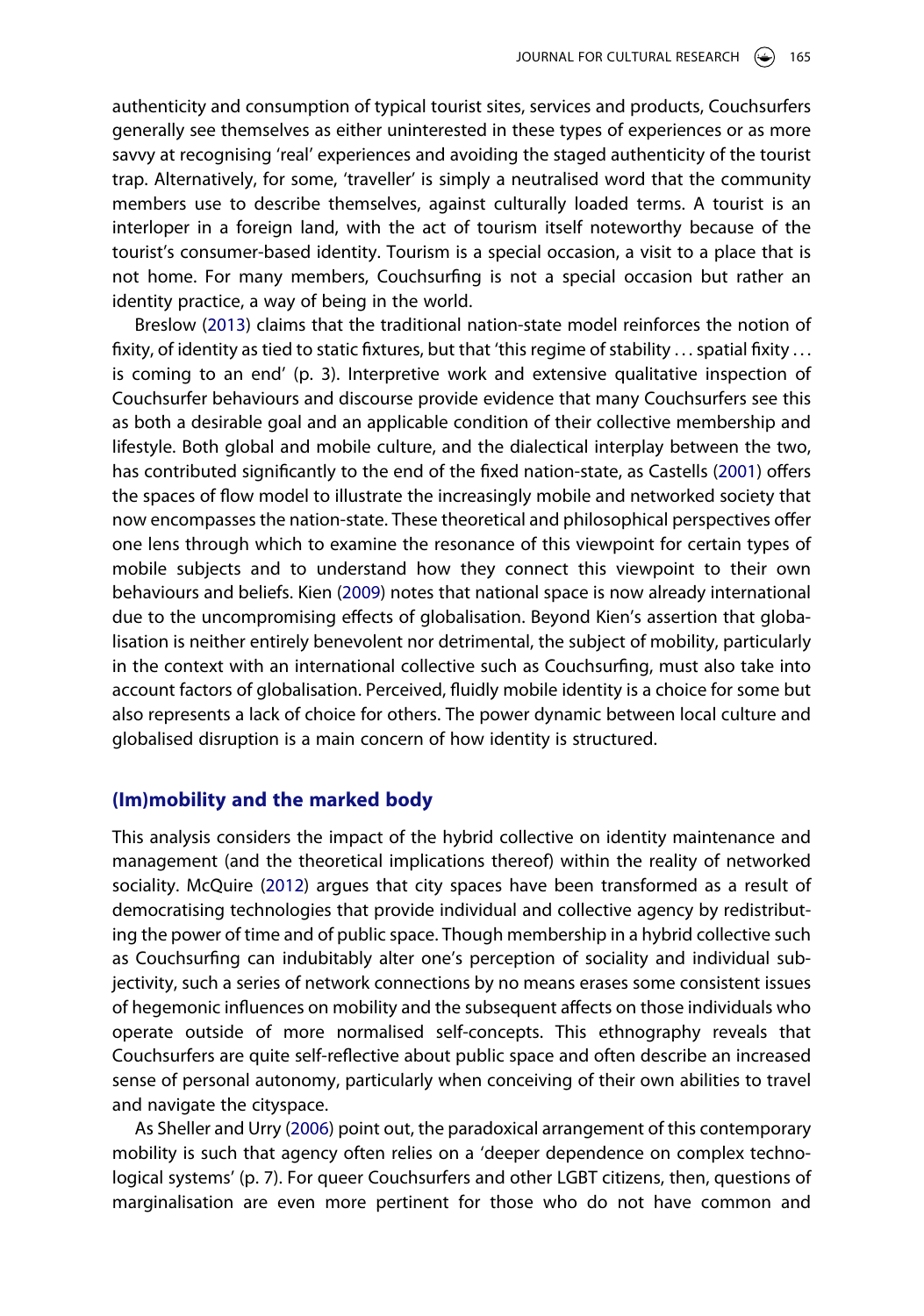authenticity and consumption of typical tourist sites, services and products, Couchsurfers generally see themselves as either uninterested in these types of experiences or as more savvy at recognising 'real' experiences and avoiding the staged authenticity of the tourist trap. Alternatively, for some, 'traveller' is simply a neutralised word that the community members use to describe themselves, against culturally loaded terms. A tourist is an interloper in a foreign land, with the act of tourism itself noteworthy because of the tourist's consumer-based identity. Tourism is a special occasion, a visit to a place that is not home. For many members, Couchsurfing is not a special occasion but rather an identity practice, a way of being in the world.

Breslow ([2013](#page-14-11)) claims that the traditional nation-state model reinforces the notion of fixity, of identity as tied to static fixtures, but that 'this regime of stability ... spatial fixity ... is coming to an end' (p. 3). Interpretive work and extensive qualitative inspection of Couchsurfer behaviours and discourse provide evidence that many Couchsurfers see this as both a desirable goal and an applicable condition of their collective membership and lifestyle. Both global and mobile culture, and the dialectical interplay between the two, has contributed significantly to the end of the fixed nation-state, as Castells ([2001](#page-14-1)) offers the spaces of flow model to illustrate the increasingly mobile and networked society that now encompasses the nation-state. These theoretical and philosophical perspectives offer one lens through which to examine the resonance of this viewpoint for certain types of mobile subjects and to understand how they connect this viewpoint to their own behaviours and beliefs. Kien ([2009](#page-14-18)) notes that national space is now already international due to the uncompromising effects of globalisation. Beyond Kien's assertion that globalisation is neither entirely benevolent nor detrimental, the subject of mobility, particularly in the context with an international collective such as Couchsurfing, must also take into account factors of globalisation. Perceived, fluidly mobile identity is a choice for some but also represents a lack of choice for others. The power dynamic between local culture and globalised disruption is a main concern of how identity is structured.

### <span id="page-7-0"></span>**(Im)mobility and the marked body**

<span id="page-7-1"></span>This analysis considers the impact of the hybrid collective on identity maintenance and management (and the theoretical implications thereof) within the reality of networked sociality. McQuire ([2012](#page-15-13)) argues that city spaces have been transformed as a result of democratising technologies that provide individual and collective agency by redistributing the power of time and of public space. Though membership in a hybrid collective such as Couchsurfing can indubitably alter one's perception of sociality and individual subjectivity, such a series of network connections by no means erases some consistent issues of hegemonic influences on mobility and the subsequent affects on those individuals who operate outside of more normalised self-concepts. This ethnography reveals that Couchsurfers are quite self-reflective about public space and often describe an increased sense of personal autonomy, particularly when conceiving of their own abilities to travel and navigate the cityspace.

<span id="page-7-2"></span>As Sheller and Urry [\(2006\)](#page-15-14) point out, the paradoxical arrangement of this contemporary mobility is such that agency often relies on a 'deeper dependence on complex technological systems' (p. 7). For queer Couchsurfers and other LGBT citizens, then, questions of marginalisation are even more pertinent for those who do not have common and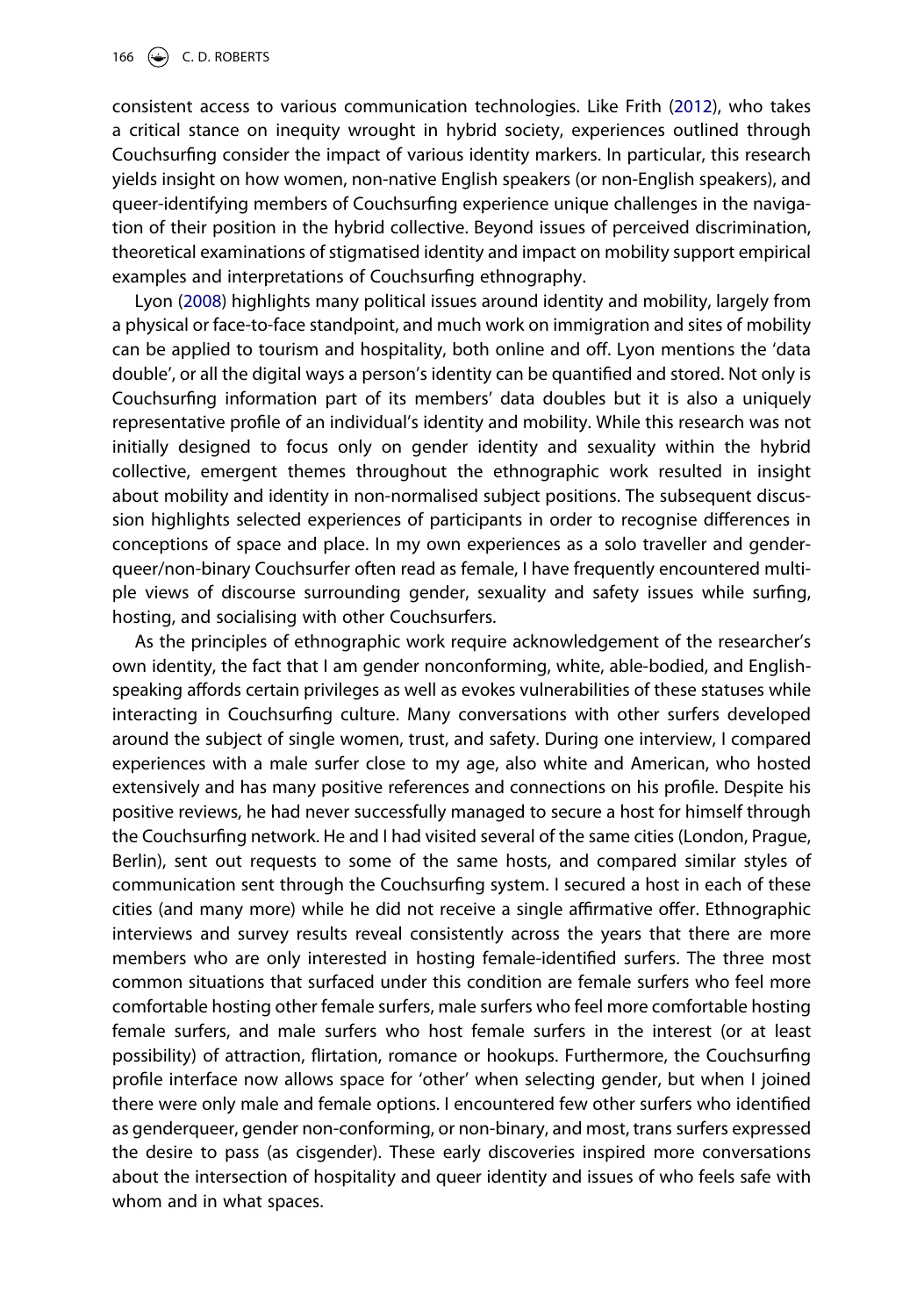<span id="page-8-0"></span>consistent access to various communication technologies. Like Frith [\(2012\)](#page-14-19), who takes a critical stance on inequity wrought in hybrid society, experiences outlined through Couchsurfing consider the impact of various identity markers. In particular, this research yields insight on how women, non-native English speakers (or non-English speakers), and queer-identifying members of Couchsurfing experience unique challenges in the navigation of their position in the hybrid collective. Beyond issues of perceived discrimination, theoretical examinations of stigmatised identity and impact on mobility support empirical examples and interpretations of Couchsurfing ethnography.

<span id="page-8-1"></span>Lyon ([2008](#page-15-15)) highlights many political issues around identity and mobility, largely from a physical or face-to-face standpoint, and much work on immigration and sites of mobility can be applied to tourism and hospitality, both online and off. Lyon mentions the 'data double', or all the digital ways a person's identity can be quantified and stored. Not only is Couchsurfing information part of its members' data doubles but it is also a uniquely representative profile of an individual's identity and mobility. While this research was not initially designed to focus only on gender identity and sexuality within the hybrid collective, emergent themes throughout the ethnographic work resulted in insight about mobility and identity in non-normalised subject positions. The subsequent discussion highlights selected experiences of participants in order to recognise differences in conceptions of space and place. In my own experiences as a solo traveller and genderqueer/non-binary Couchsurfer often read as female, I have frequently encountered multiple views of discourse surrounding gender, sexuality and safety issues while surfing, hosting, and socialising with other Couchsurfers.

As the principles of ethnographic work require acknowledgement of the researcher's own identity, the fact that I am gender nonconforming, white, able-bodied, and Englishspeaking affords certain privileges as well as evokes vulnerabilities of these statuses while interacting in Couchsurfing culture. Many conversations with other surfers developed around the subject of single women, trust, and safety. During one interview, I compared experiences with a male surfer close to my age, also white and American, who hosted extensively and has many positive references and connections on his profile. Despite his positive reviews, he had never successfully managed to secure a host for himself through the Couchsurfing network. He and I had visited several of the same cities (London, Prague, Berlin), sent out requests to some of the same hosts, and compared similar styles of communication sent through the Couchsurfing system. I secured a host in each of these cities (and many more) while he did not receive a single affirmative offer. Ethnographic interviews and survey results reveal consistently across the years that there are more members who are only interested in hosting female-identified surfers. The three most common situations that surfaced under this condition are female surfers who feel more comfortable hosting other female surfers, male surfers who feel more comfortable hosting female surfers, and male surfers who host female surfers in the interest (or at least possibility) of attraction, flirtation, romance or hookups. Furthermore, the Couchsurfing profile interface now allows space for 'other' when selecting gender, but when I joined there were only male and female options. I encountered few other surfers who identified as genderqueer, gender non-conforming, or non-binary, and most, trans surfers expressed the desire to pass (as cisgender). These early discoveries inspired more conversations about the intersection of hospitality and queer identity and issues of who feels safe with whom and in what spaces.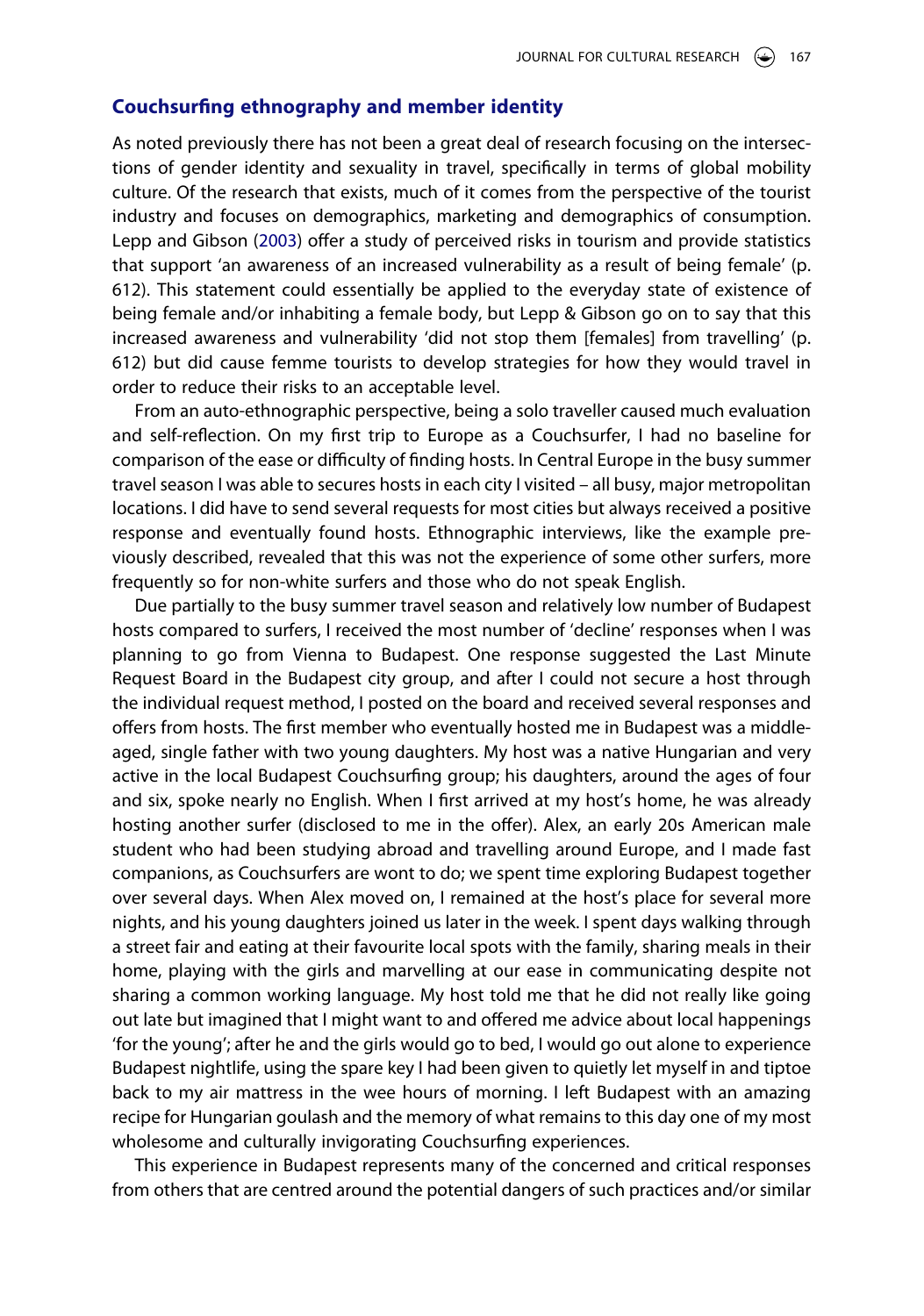#### **Couchsurfing ethnography and member identity**

<span id="page-9-0"></span>As noted previously there has not been a great deal of research focusing on the intersections of gender identity and sexuality in travel, specifically in terms of global mobility culture. Of the research that exists, much of it comes from the perspective of the tourist industry and focuses on demographics, marketing and demographics of consumption. Lepp and Gibson [\(2003\)](#page-14-20) offer a study of perceived risks in tourism and provide statistics that support 'an awareness of an increased vulnerability as a result of being female' (p. 612). This statement could essentially be applied to the everyday state of existence of being female and/or inhabiting a female body, but Lepp & Gibson go on to say that this increased awareness and vulnerability 'did not stop them [females] from travelling' (p. 612) but did cause femme tourists to develop strategies for how they would travel in order to reduce their risks to an acceptable level.

From an auto-ethnographic perspective, being a solo traveller caused much evaluation and self-reflection. On my first trip to Europe as a Couchsurfer, I had no baseline for comparison of the ease or difficulty of finding hosts. In Central Europe in the busy summer travel season I was able to secures hosts in each city I visited – all busy, major metropolitan locations. I did have to send several requests for most cities but always received a positive response and eventually found hosts. Ethnographic interviews, like the example previously described, revealed that this was not the experience of some other surfers, more frequently so for non-white surfers and those who do not speak English.

Due partially to the busy summer travel season and relatively low number of Budapest hosts compared to surfers, I received the most number of 'decline' responses when I was planning to go from Vienna to Budapest. One response suggested the Last Minute Request Board in the Budapest city group, and after I could not secure a host through the individual request method, I posted on the board and received several responses and offers from hosts. The first member who eventually hosted me in Budapest was a middleaged, single father with two young daughters. My host was a native Hungarian and very active in the local Budapest Couchsurfing group; his daughters, around the ages of four and six, spoke nearly no English. When I first arrived at my host's home, he was already hosting another surfer (disclosed to me in the offer). Alex, an early 20s American male student who had been studying abroad and travelling around Europe, and I made fast companions, as Couchsurfers are wont to do; we spent time exploring Budapest together over several days. When Alex moved on, I remained at the host's place for several more nights, and his young daughters joined us later in the week. I spent days walking through a street fair and eating at their favourite local spots with the family, sharing meals in their home, playing with the girls and marvelling at our ease in communicating despite not sharing a common working language. My host told me that he did not really like going out late but imagined that I might want to and offered me advice about local happenings 'for the young'; after he and the girls would go to bed, I would go out alone to experience Budapest nightlife, using the spare key I had been given to quietly let myself in and tiptoe back to my air mattress in the wee hours of morning. I left Budapest with an amazing recipe for Hungarian goulash and the memory of what remains to this day one of my most wholesome and culturally invigorating Couchsurfing experiences.

This experience in Budapest represents many of the concerned and critical responses from others that are centred around the potential dangers of such practices and/or similar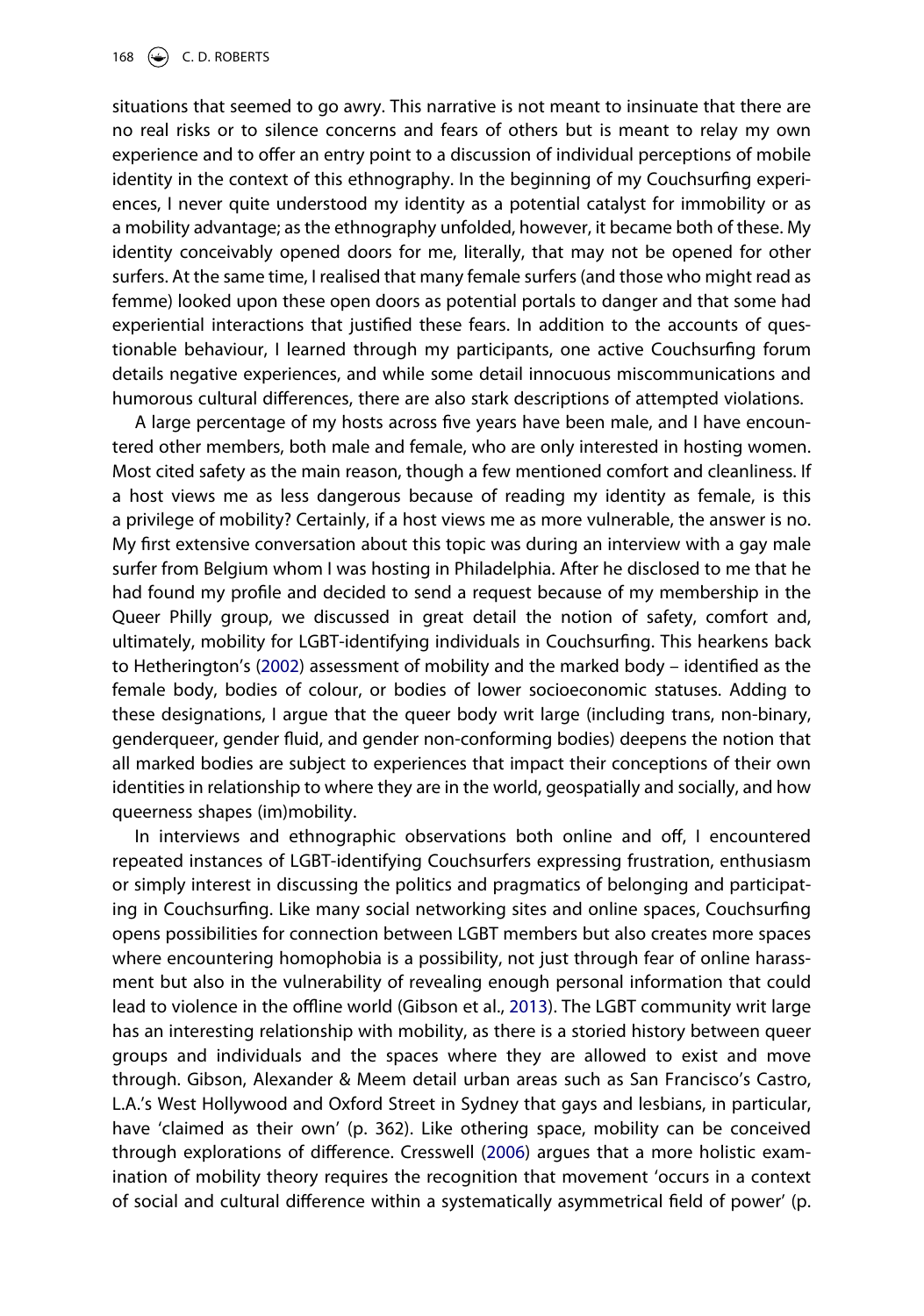situations that seemed to go awry. This narrative is not meant to insinuate that there are no real risks or to silence concerns and fears of others but is meant to relay my own experience and to offer an entry point to a discussion of individual perceptions of mobile identity in the context of this ethnography. In the beginning of my Couchsurfing experiences, I never quite understood my identity as a potential catalyst for immobility or as a mobility advantage; as the ethnography unfolded, however, it became both of these. My identity conceivably opened doors for me, literally, that may not be opened for other surfers. At the same time, I realised that many female surfers (and those who might read as femme) looked upon these open doors as potential portals to danger and that some had experiential interactions that justified these fears. In addition to the accounts of questionable behaviour, I learned through my participants, one active Couchsurfing forum details negative experiences, and while some detail innocuous miscommunications and humorous cultural differences, there are also stark descriptions of attempted violations.

A large percentage of my hosts across five years have been male, and I have encountered other members, both male and female, who are only interested in hosting women. Most cited safety as the main reason, though a few mentioned comfort and cleanliness. If a host views me as less dangerous because of reading my identity as female, is this a privilege of mobility? Certainly, if a host views me as more vulnerable, the answer is no. My first extensive conversation about this topic was during an interview with a gay male surfer from Belgium whom I was hosting in Philadelphia. After he disclosed to me that he had found my profile and decided to send a request because of my membership in the Queer Philly group, we discussed in great detail the notion of safety, comfort and, ultimately, mobility for LGBT-identifying individuals in Couchsurfing. This hearkens back to Hetherington's [\(2002\)](#page-14-9) assessment of mobility and the marked body – identified as the female body, bodies of colour, or bodies of lower socioeconomic statuses. Adding to these designations, I argue that the queer body writ large (including trans, non-binary, genderqueer, gender fluid, and gender non-conforming bodies) deepens the notion that all marked bodies are subject to experiences that impact their conceptions of their own identities in relationship to where they are in the world, geospatially and socially, and how queerness shapes (im)mobility.

<span id="page-10-1"></span><span id="page-10-0"></span>In interviews and ethnographic observations both online and off, I encountered repeated instances of LGBT-identifying Couchsurfers expressing frustration, enthusiasm or simply interest in discussing the politics and pragmatics of belonging and participating in Couchsurfing. Like many social networking sites and online spaces, Couchsurfing opens possibilities for connection between LGBT members but also creates more spaces where encountering homophobia is a possibility, not just through fear of online harassment but also in the vulnerability of revealing enough personal information that could lead to violence in the offline world (Gibson et al., [2013\)](#page-14-21). The LGBT community writ large has an interesting relationship with mobility, as there is a storied history between queer groups and individuals and the spaces where they are allowed to exist and move through. Gibson, Alexander & Meem detail urban areas such as San Francisco's Castro, L.A.'s West Hollywood and Oxford Street in Sydney that gays and lesbians, in particular, have 'claimed as their own' (p. 362). Like othering space, mobility can be conceived through explorations of difference. Cresswell ([2006\)](#page-14-22) argues that a more holistic examination of mobility theory requires the recognition that movement 'occurs in a context of social and cultural difference within a systematically asymmetrical field of power' (p.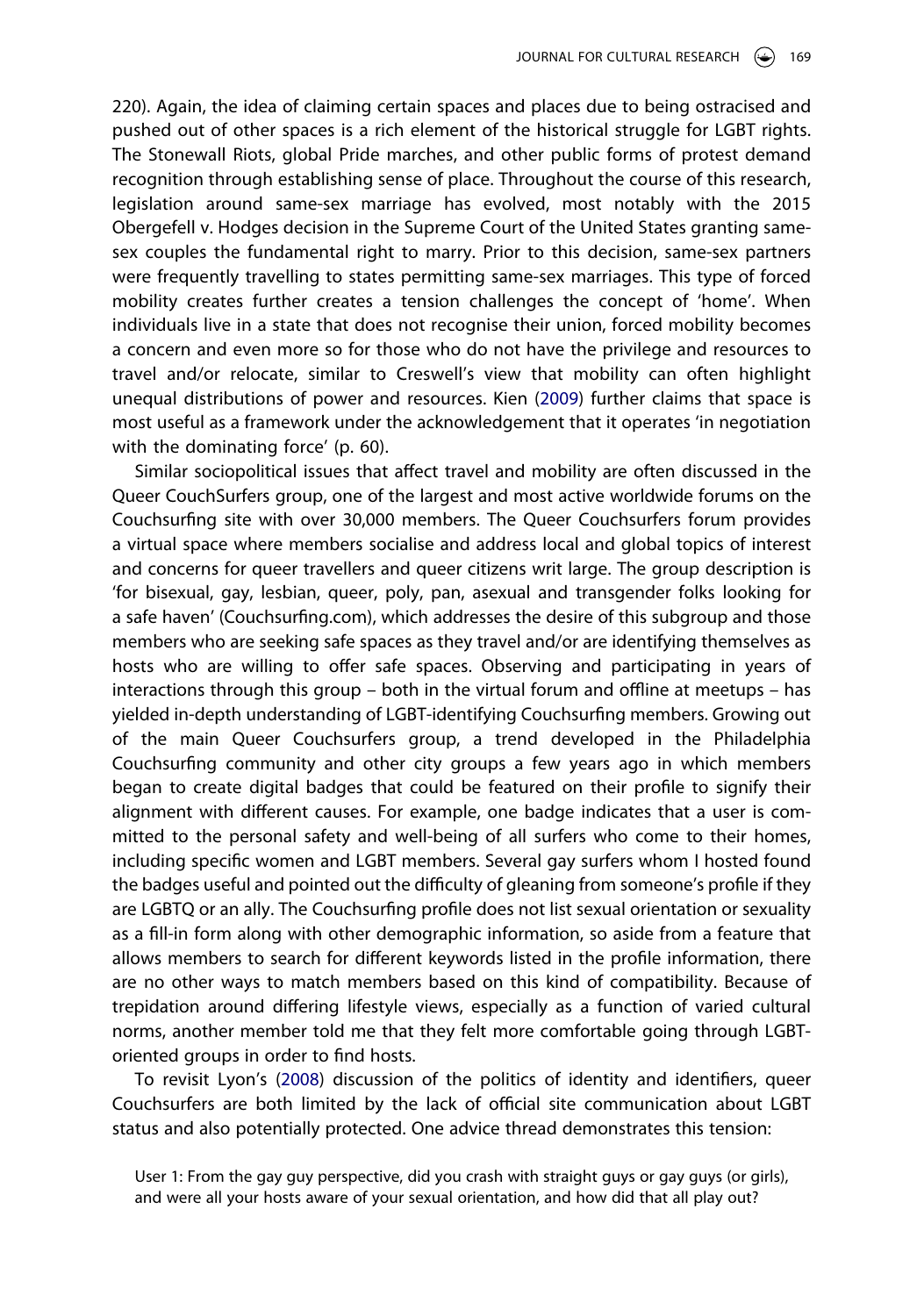220). Again, the idea of claiming certain spaces and places due to being ostracised and pushed out of other spaces is a rich element of the historical struggle for LGBT rights. The Stonewall Riots, global Pride marches, and other public forms of protest demand recognition through establishing sense of place. Throughout the course of this research, legislation around same-sex marriage has evolved, most notably with the 2015 Obergefell v. Hodges decision in the Supreme Court of the United States granting samesex couples the fundamental right to marry. Prior to this decision, same-sex partners were frequently travelling to states permitting same-sex marriages. This type of forced mobility creates further creates a tension challenges the concept of 'home'. When individuals live in a state that does not recognise their union, forced mobility becomes a concern and even more so for those who do not have the privilege and resources to travel and/or relocate, similar to Creswell's view that mobility can often highlight unequal distributions of power and resources. Kien [\(2009](#page-14-18)) further claims that space is most useful as a framework under the acknowledgement that it operates 'in negotiation with the dominating force' (p. 60).

Similar sociopolitical issues that affect travel and mobility are often discussed in the Queer CouchSurfers group, one of the largest and most active worldwide forums on the Couchsurfing site with over 30,000 members. The Queer Couchsurfers forum provides a virtual space where members socialise and address local and global topics of interest and concerns for queer travellers and queer citizens writ large. The group description is 'for bisexual, gay, lesbian, queer, poly, pan, asexual and transgender folks looking for a safe haven' (Couchsurfing.com), which addresses the desire of this subgroup and those members who are seeking safe spaces as they travel and/or are identifying themselves as hosts who are willing to offer safe spaces. Observing and participating in years of interactions through this group – both in the virtual forum and offline at meetups – has yielded in-depth understanding of LGBT-identifying Couchsurfing members. Growing out of the main Queer Couchsurfers group, a trend developed in the Philadelphia Couchsurfing community and other city groups a few years ago in which members began to create digital badges that could be featured on their profile to signify their alignment with different causes. For example, one badge indicates that a user is committed to the personal safety and well-being of all surfers who come to their homes, including specific women and LGBT members. Several gay surfers whom I hosted found the badges useful and pointed out the difficulty of gleaning from someone's profile if they are LGBTQ or an ally. The Couchsurfing profile does not list sexual orientation or sexuality as a fill-in form along with other demographic information, so aside from a feature that allows members to search for different keywords listed in the profile information, there are no other ways to match members based on this kind of compatibility. Because of trepidation around differing lifestyle views, especially as a function of varied cultural norms, another member told me that they felt more comfortable going through LGBToriented groups in order to find hosts.

To revisit Lyon's [\(2008\)](#page-15-15) discussion of the politics of identity and identifiers, queer Couchsurfers are both limited by the lack of official site communication about LGBT status and also potentially protected. One advice thread demonstrates this tension:

User 1: From the gay guy perspective, did you crash with straight guys or gay guys (or girls), and were all your hosts aware of your sexual orientation, and how did that all play out?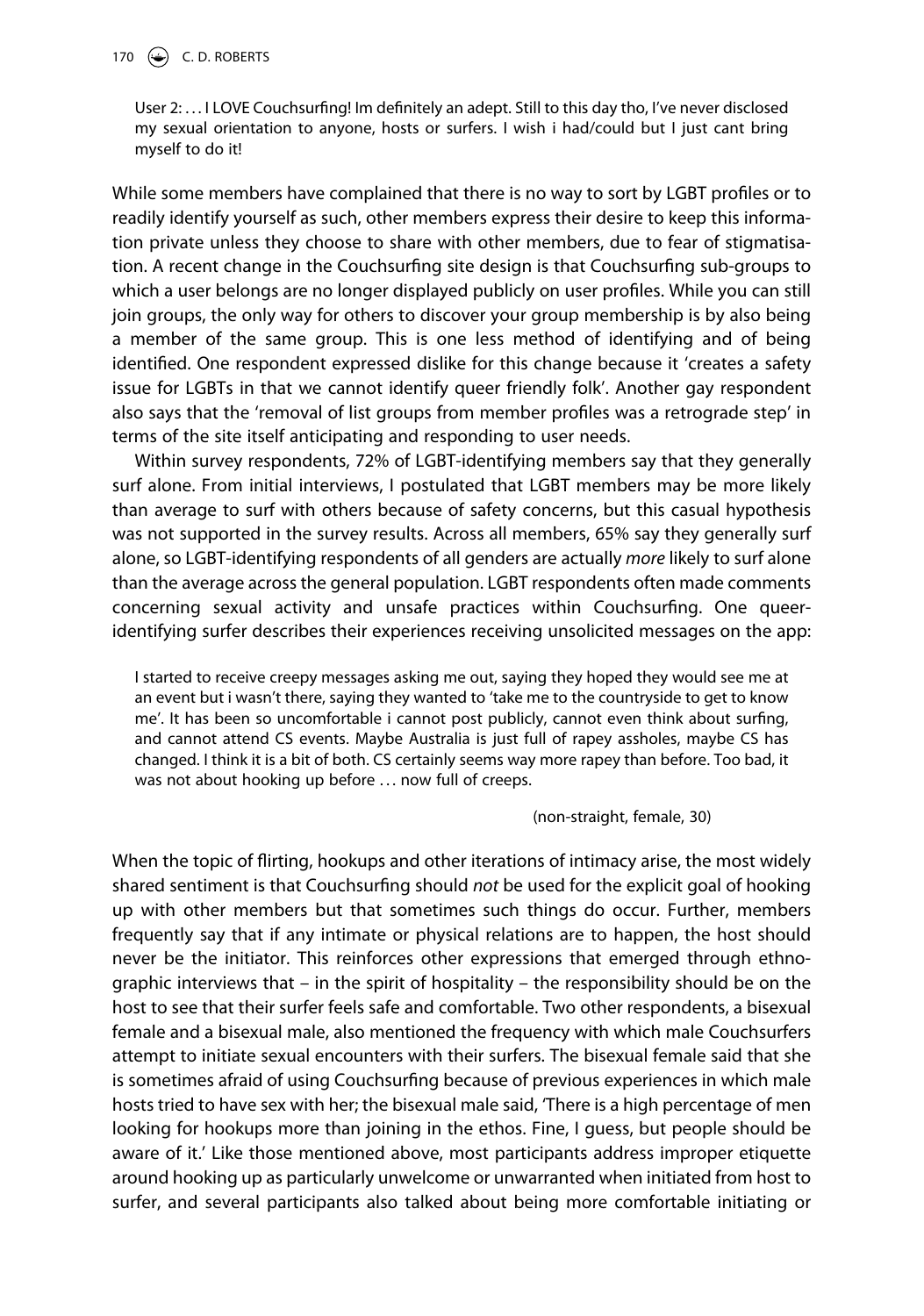#### 170  $\left(\bigoplus$  C. D. ROBERTS

User 2: . . . I LOVE Couchsurfing! Im definitely an adept. Still to this day tho, I've never disclosed my sexual orientation to anyone, hosts or surfers. I wish i had/could but I just cant bring myself to do it!

While some members have complained that there is no way to sort by LGBT profiles or to readily identify yourself as such, other members express their desire to keep this information private unless they choose to share with other members, due to fear of stigmatisation. A recent change in the Couchsurfing site design is that Couchsurfing sub-groups to which a user belongs are no longer displayed publicly on user profiles. While you can still join groups, the only way for others to discover your group membership is by also being a member of the same group. This is one less method of identifying and of being identified. One respondent expressed dislike for this change because it 'creates a safety issue for LGBTs in that we cannot identify queer friendly folk'. Another gay respondent also says that the 'removal of list groups from member profiles was a retrograde step' in terms of the site itself anticipating and responding to user needs.

Within survey respondents, 72% of LGBT-identifying members say that they generally surf alone. From initial interviews, I postulated that LGBT members may be more likely than average to surf with others because of safety concerns, but this casual hypothesis was not supported in the survey results. Across all members, 65% say they generally surf alone, so LGBT-identifying respondents of all genders are actually *more* likely to surf alone than the average across the general population. LGBT respondents often made comments concerning sexual activity and unsafe practices within Couchsurfing. One queeridentifying surfer describes their experiences receiving unsolicited messages on the app:

I started to receive creepy messages asking me out, saying they hoped they would see me at an event but i wasn't there, saying they wanted to 'take me to the countryside to get to know me'. It has been so uncomfortable i cannot post publicly, cannot even think about surfing, and cannot attend CS events. Maybe Australia is just full of rapey assholes, maybe CS has changed. I think it is a bit of both. CS certainly seems way more rapey than before. Too bad, it was not about hooking up before ... now full of creeps.

(non-straight, female, 30)

When the topic of flirting, hookups and other iterations of intimacy arise, the most widely shared sentiment is that Couchsurfing should *not* be used for the explicit goal of hooking up with other members but that sometimes such things do occur. Further, members frequently say that if any intimate or physical relations are to happen, the host should never be the initiator. This reinforces other expressions that emerged through ethnographic interviews that – in the spirit of hospitality – the responsibility should be on the host to see that their surfer feels safe and comfortable. Two other respondents, a bisexual female and a bisexual male, also mentioned the frequency with which male Couchsurfers attempt to initiate sexual encounters with their surfers. The bisexual female said that she is sometimes afraid of using Couchsurfing because of previous experiences in which male hosts tried to have sex with her; the bisexual male said, 'There is a high percentage of men looking for hookups more than joining in the ethos. Fine, I guess, but people should be aware of it.' Like those mentioned above, most participants address improper etiquette around hooking up as particularly unwelcome or unwarranted when initiated from host to surfer, and several participants also talked about being more comfortable initiating or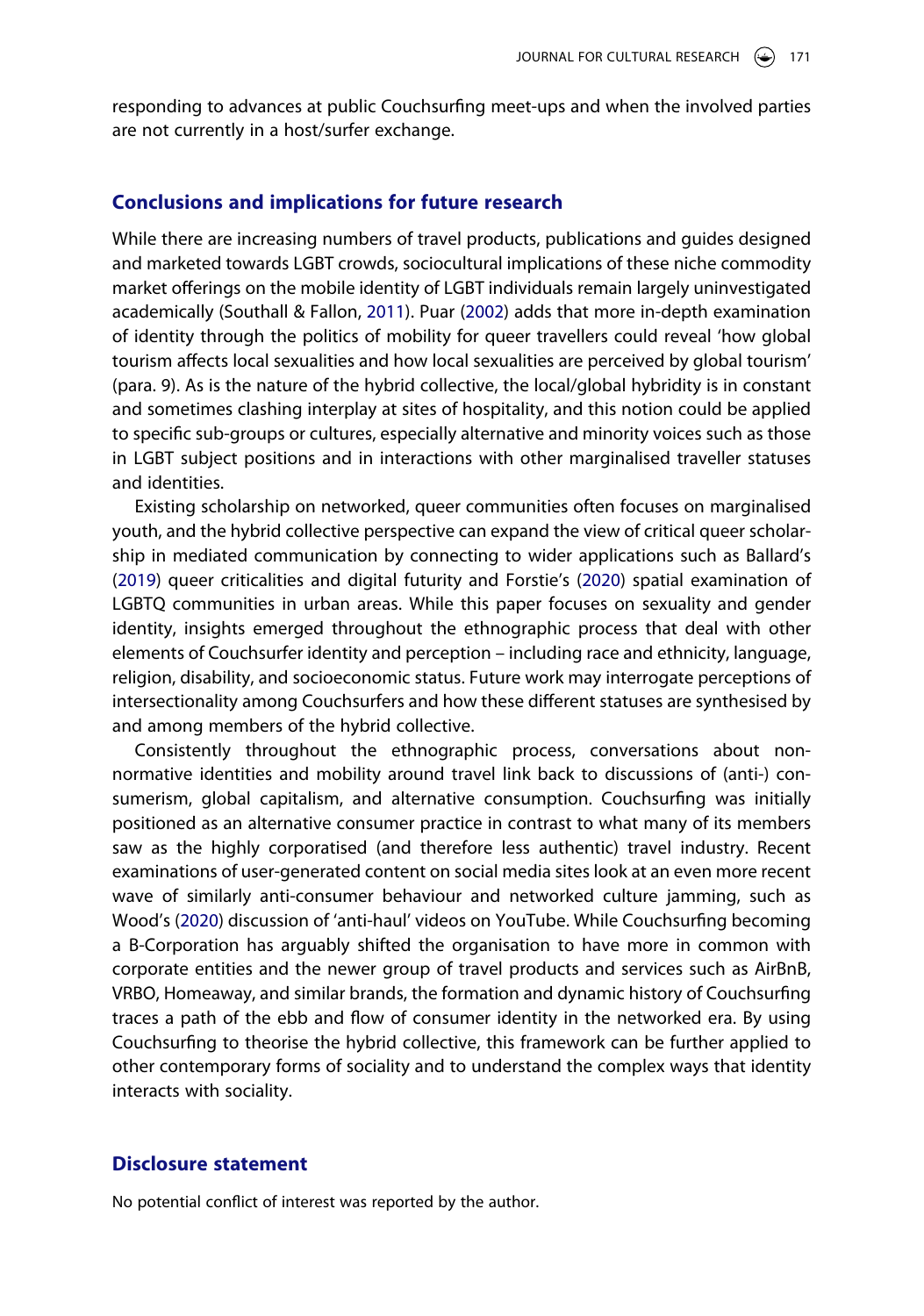responding to advances at public Couchsurfing meet-ups and when the involved parties are not currently in a host/surfer exchange.

#### **Conclusions and implications for future research**

<span id="page-13-1"></span>While there are increasing numbers of travel products, publications and guides designed and marketed towards LGBT crowds, sociocultural implications of these niche commodity market offerings on the mobile identity of LGBT individuals remain largely uninvestigated academically (Southall & Fallon, [2011](#page-15-16)). Puar ([2002](#page-15-7)) adds that more in-depth examination of identity through the politics of mobility for queer travellers could reveal 'how global tourism affects local sexualities and how local sexualities are perceived by global tourism' (para. 9). As is the nature of the hybrid collective, the local/global hybridity is in constant and sometimes clashing interplay at sites of hospitality, and this notion could be applied to specific sub-groups or cultures, especially alternative and minority voices such as those in LGBT subject positions and in interactions with other marginalised traveller statuses and identities.

<span id="page-13-0"></span>Existing scholarship on networked, queer communities often focuses on marginalised youth, and the hybrid collective perspective can expand the view of critical queer scholarship in mediated communication by connecting to wider applications such as Ballard's ([2019](#page-14-23)) queer criticalities and digital futurity and Forstie's ([2020](#page-14-24)) spatial examination of LGBTQ communities in urban areas. While this paper focuses on sexuality and gender identity, insights emerged throughout the ethnographic process that deal with other elements of Couchsurfer identity and perception – including race and ethnicity, language, religion, disability, and socioeconomic status. Future work may interrogate perceptions of intersectionality among Couchsurfers and how these different statuses are synthesised by and among members of the hybrid collective.

<span id="page-13-2"></span>Consistently throughout the ethnographic process, conversations about nonnormative identities and mobility around travel link back to discussions of (anti-) consumerism, global capitalism, and alternative consumption. Couchsurfing was initially positioned as an alternative consumer practice in contrast to what many of its members saw as the highly corporatised (and therefore less authentic) travel industry. Recent examinations of user-generated content on social media sites look at an even more recent wave of similarly anti-consumer behaviour and networked culture jamming, such as Wood's [\(2020\)](#page-15-17) discussion of 'anti-haul' videos on YouTube. While Couchsurfing becoming a B-Corporation has arguably shifted the organisation to have more in common with corporate entities and the newer group of travel products and services such as AirBnB, VRBO, Homeaway, and similar brands, the formation and dynamic history of Couchsurfing traces a path of the ebb and flow of consumer identity in the networked era. By using Couchsurfing to theorise the hybrid collective, this framework can be further applied to other contemporary forms of sociality and to understand the complex ways that identity interacts with sociality.

## **Disclosure statement**

No potential conflict of interest was reported by the author.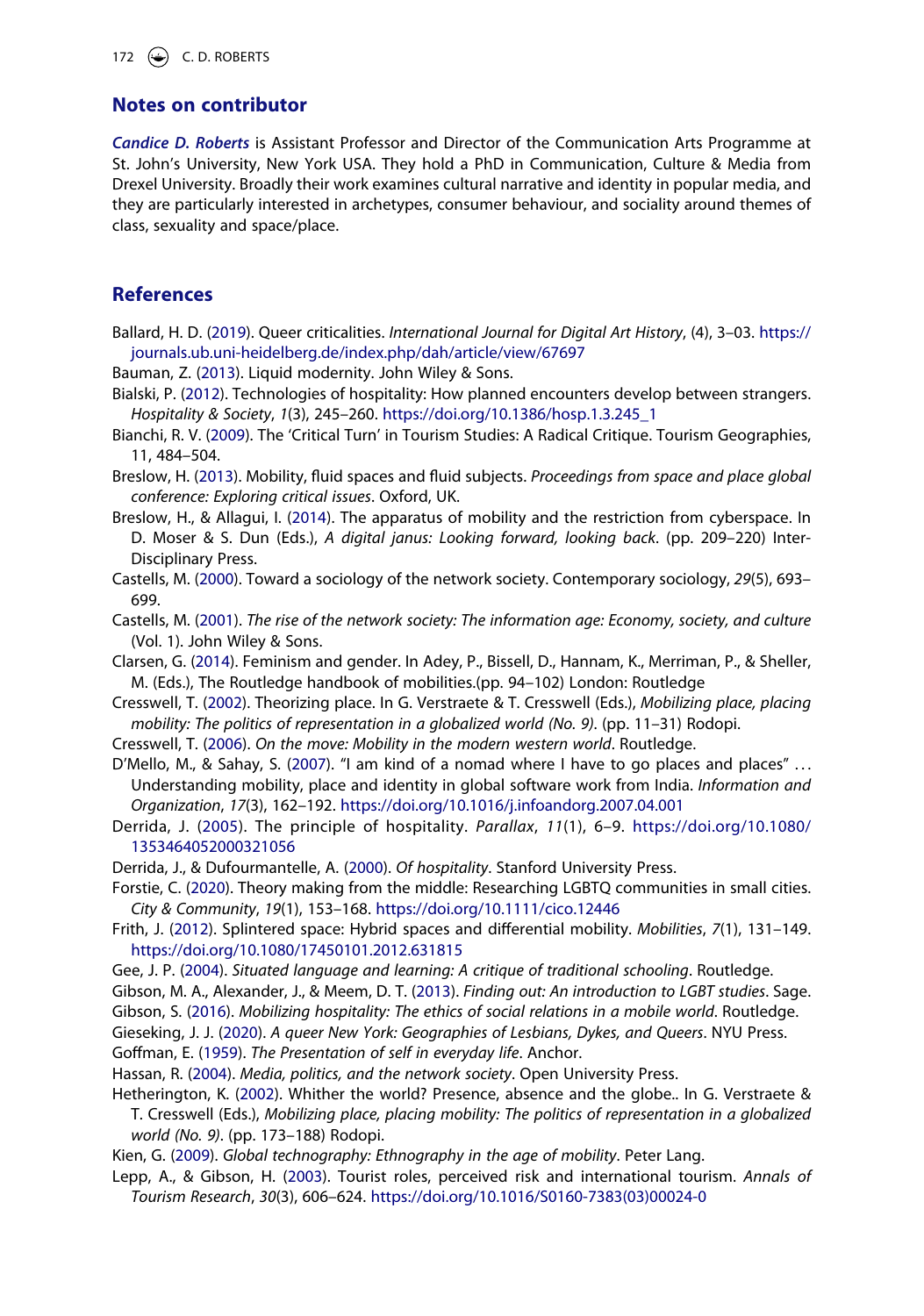## **Notes on contributor**

*Candice D. Roberts* is Assistant Professor and Director of the Communication Arts Programme at St. John's University, New York USA. They hold a PhD in Communication, Culture & Media from Drexel University. Broadly their work examines cultural narrative and identity in popular media, and they are particularly interested in archetypes, consumer behaviour, and sociality around themes of class, sexuality and space/place.

### **References**

- <span id="page-14-23"></span>Ballard, H. D. ([2019](#page-13-0)). Queer criticalities. *International Journal for Digital Art History*, (4), 3–03. [https://](https://journals.ub.uni-heidelberg.de/index.php/dah/article/view/67697) [journals.ub.uni-heidelberg.de/index.php/dah/article/view/67697](https://journals.ub.uni-heidelberg.de/index.php/dah/article/view/67697)
- <span id="page-14-10"></span>Bauman, Z. [\(2013\)](#page-5-0). Liquid modernity. John Wiley & Sons.
- <span id="page-14-4"></span>Bialski, P. ([2012](#page-4-0)). Technologies of hospitality: How planned encounters develop between strangers. *Hospitality & Society*, *1*(3), 245–260. [https://doi.org/10.1386/hosp.1.3.245\\_1](https://doi.org/10.1386/hosp.1.3.245_1)
- <span id="page-14-17"></span>Bianchi, R. V. [\(2009\)](#page-6-0). The 'Critical Turn' in Tourism Studies: A Radical Critique. Tourism Geographies, 11, 484–504.
- <span id="page-14-11"></span>Breslow, H. [\(2013\)](#page-5-1). Mobility, fluid spaces and fluid subjects. *Proceedings from space and place global conference: Exploring critical issues*. Oxford, UK.
- <span id="page-14-16"></span>Breslow, H., & Allagui, I. ([2014](#page-6-1)). The apparatus of mobility and the restriction from cyberspace. In D. Moser & S. Dun (Eds.), *A digital janus: Looking forward, looking back*. (pp. 209–220) Inter-Disciplinary Press.
- <span id="page-14-5"></span>Castells, M. [\(2000\)](#page-4-1). Toward a sociology of the network society. Contemporary sociology, *29*(5), 693– 699.
- <span id="page-14-1"></span>Castells, M. ([2001\)](#page-2-0). *The rise of the network society: The information age: Economy, society, and culture*  (Vol. 1). John Wiley & Sons.
- <span id="page-14-7"></span>Clarsen, G. [\(2014\)](#page-4-2). Feminism and gender. In Adey, P., Bissell, D., Hannam, K., Merriman, P., & Sheller, M. (Eds.), The Routledge handbook of mobilities.(pp. 94–102) London: Routledge
- <span id="page-14-15"></span>Cresswell, T. ([2002](#page-6-2)). Theorizing place. In G. Verstraete & T. Cresswell (Eds.), *Mobilizing place, placing mobility: The politics of representation in a globalized world (No. 9)*. (pp. 11–31) Rodopi.
- <span id="page-14-22"></span>Cresswell, T. ([2006](#page-10-0)). *On the move: Mobility in the modern western world*. Routledge.
- <span id="page-14-12"></span>D'Mello, M., & Sahay, S. ([2007](#page-5-2)). "I am kind of a nomad where I have to go places and places" ... Understanding mobility, place and identity in global software work from India. *Information and Organization*, *17*(3), 162–192. <https://doi.org/10.1016/j.infoandorg.2007.04.001>
- <span id="page-14-14"></span>Derrida, J. ([2005](#page-6-3)). The principle of hospitality. *Parallax*, *11*(1), 6–9. [https://doi.org/10.1080/](https://doi.org/10.1080/1353464052000321056) [1353464052000321056](https://doi.org/10.1080/1353464052000321056)
- <span id="page-14-13"></span>Derrida, J., & Dufourmantelle, A. [\(2000\)](#page-5-3). *Of hospitality*. Stanford University Press.
- <span id="page-14-24"></span>Forstie, C. ([2020](#page-13-0)). Theory making from the middle: Researching LGBTQ communities in small cities. *City & Community*, *19*(1), 153–168. <https://doi.org/10.1111/cico.12446>
- <span id="page-14-19"></span>Frith, J. ([2012](#page-8-0)). Splintered space: Hybrid spaces and differential mobility. *Mobilities*, *7*(1), 131–149. <https://doi.org/10.1080/17450101.2012.631815>
- <span id="page-14-3"></span>Gee, J. P. ([2004](#page-2-1)). *Situated language and learning: A critique of traditional schooling*. Routledge.
- <span id="page-14-21"></span>Gibson, M. A., Alexander, J., & Meem, D. T. [\(2013\)](#page-10-1). *Finding out: An introduction to LGBT studies*. Sage.
- <span id="page-14-0"></span>Gibson, S. [\(2016\)](#page-2-2). *Mobilizing hospitality: The ethics of social relations in a mobile world*. Routledge.
- <span id="page-14-8"></span>Gieseking, J. J. [\(2020\)](#page-5-4). *A queer New York: Geographies of Lesbians, Dykes, and Queers*. NYU Press.
- <span id="page-14-6"></span>Goffman, E. ([1959](#page-4-3)). *The Presentation of self in everyday life*. Anchor.
- <span id="page-14-2"></span>Hassan, R. ([2004](#page-2-3)). *Media, politics, and the network society*. Open University Press.
- <span id="page-14-9"></span>Hetherington, K. [\(2002\)](#page-5-5). Whither the world? Presence, absence and the globe.. In G. Verstraete & T. Cresswell (Eds.), *Mobilizing place, placing mobility: The politics of representation in a globalized world (No. 9)*. (pp. 173–188) Rodopi.
- <span id="page-14-18"></span>Kien, G. ([2009](#page-7-0)). *Global technography: Ethnography in the age of mobility*. Peter Lang.
- <span id="page-14-20"></span>Lepp, A., & Gibson, H. ([2003](#page-9-0)). Tourist roles, perceived risk and international tourism. *Annals of Tourism Research*, *30*(3), 606–624. [https://doi.org/10.1016/S0160-7383\(03\)00024-0](https://doi.org/10.1016/S0160-7383(03)00024-0)